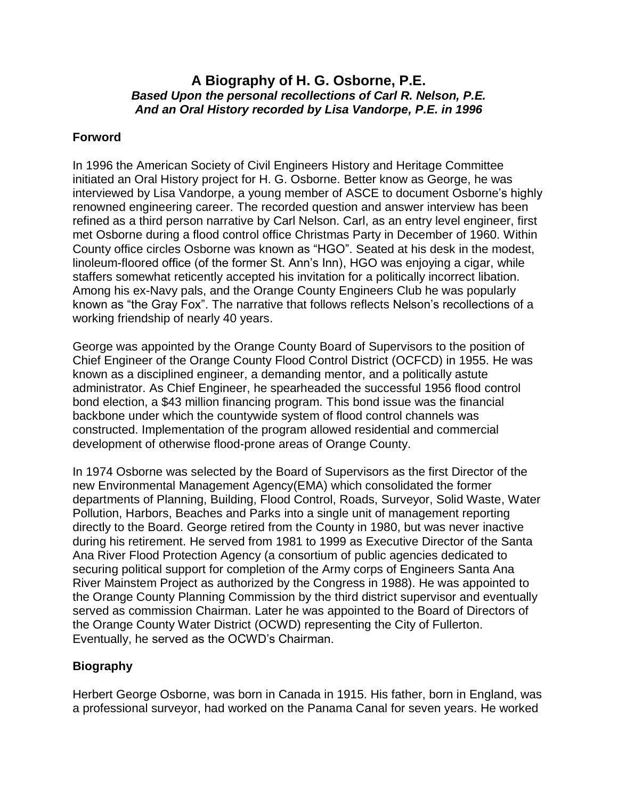## **A Biography of H. G. Osborne, P.E.** *Based Upon the personal recollections of Carl R. Nelson, P.E. And an Oral History recorded by Lisa Vandorpe, P.E. in 1996*

## **Forword**

In 1996 the American Society of Civil Engineers History and Heritage Committee initiated an Oral History project for H. G. Osborne. Better know as George, he was interviewed by Lisa Vandorpe, a young member of ASCE to document Osborne's highly renowned engineering career. The recorded question and answer interview has been refined as a third person narrative by Carl Nelson. Carl, as an entry level engineer, first met Osborne during a flood control office Christmas Party in December of 1960. Within County office circles Osborne was known as "HGO". Seated at his desk in the modest, linoleum-floored office (of the former St. Ann's Inn), HGO was enjoying a cigar, while staffers somewhat reticently accepted his invitation for a politically incorrect libation. Among his ex-Navy pals, and the Orange County Engineers Club he was popularly known as "the Gray Fox". The narrative that follows reflects Nelson's recollections of a working friendship of nearly 40 years.

George was appointed by the Orange County Board of Supervisors to the position of Chief Engineer of the Orange County Flood Control District (OCFCD) in 1955. He was known as a disciplined engineer, a demanding mentor, and a politically astute administrator. As Chief Engineer, he spearheaded the successful 1956 flood control bond election, a \$43 million financing program. This bond issue was the financial backbone under which the countywide system of flood control channels was constructed. Implementation of the program allowed residential and commercial development of otherwise flood-prone areas of Orange County.

In 1974 Osborne was selected by the Board of Supervisors as the first Director of the new Environmental Management Agency(EMA) which consolidated the former departments of Planning, Building, Flood Control, Roads, Surveyor, Solid Waste, Water Pollution, Harbors, Beaches and Parks into a single unit of management reporting directly to the Board. George retired from the County in 1980, but was never inactive during his retirement. He served from 1981 to 1999 as Executive Director of the Santa Ana River Flood Protection Agency (a consortium of public agencies dedicated to securing political support for completion of the Army corps of Engineers Santa Ana River Mainstem Project as authorized by the Congress in 1988). He was appointed to the Orange County Planning Commission by the third district supervisor and eventually served as commission Chairman. Later he was appointed to the Board of Directors of the Orange County Water District (OCWD) representing the City of Fullerton. Eventually, he served as the OCWD's Chairman.

## **Biography**

Herbert George Osborne, was born in Canada in 1915. His father, born in England, was a professional surveyor, had worked on the Panama Canal for seven years. He worked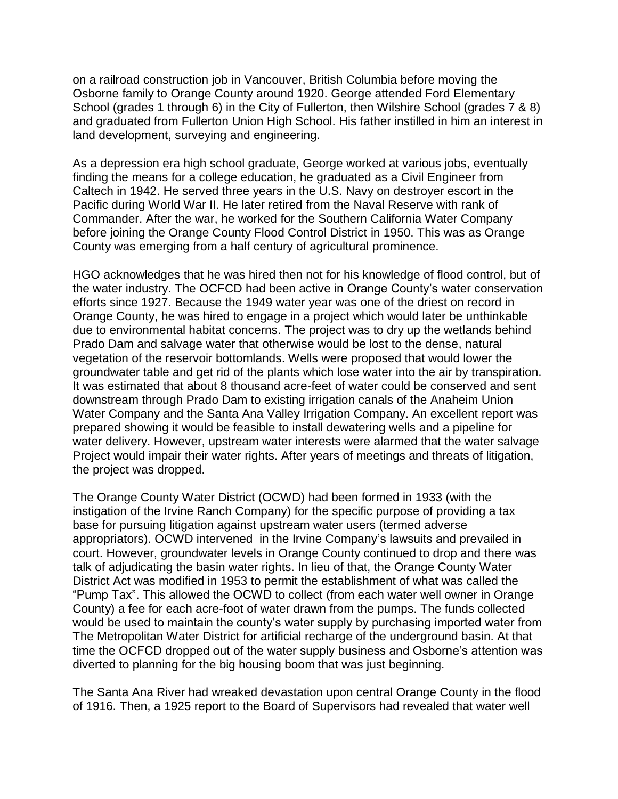on a railroad construction job in Vancouver, British Columbia before moving the Osborne family to Orange County around 1920. George attended Ford Elementary School (grades 1 through 6) in the City of Fullerton, then Wilshire School (grades 7 & 8) and graduated from Fullerton Union High School. His father instilled in him an interest in land development, surveying and engineering.

As a depression era high school graduate, George worked at various jobs, eventually finding the means for a college education, he graduated as a Civil Engineer from Caltech in 1942. He served three years in the U.S. Navy on destroyer escort in the Pacific during World War II. He later retired from the Naval Reserve with rank of Commander. After the war, he worked for the Southern California Water Company before joining the Orange County Flood Control District in 1950. This was as Orange County was emerging from a half century of agricultural prominence.

HGO acknowledges that he was hired then not for his knowledge of flood control, but of the water industry. The OCFCD had been active in Orange County's water conservation efforts since 1927. Because the 1949 water year was one of the driest on record in Orange County, he was hired to engage in a project which would later be unthinkable due to environmental habitat concerns. The project was to dry up the wetlands behind Prado Dam and salvage water that otherwise would be lost to the dense, natural vegetation of the reservoir bottomlands. Wells were proposed that would lower the groundwater table and get rid of the plants which lose water into the air by transpiration. It was estimated that about 8 thousand acre-feet of water could be conserved and sent downstream through Prado Dam to existing irrigation canals of the Anaheim Union Water Company and the Santa Ana Valley Irrigation Company. An excellent report was prepared showing it would be feasible to install dewatering wells and a pipeline for water delivery. However, upstream water interests were alarmed that the water salvage Project would impair their water rights. After years of meetings and threats of litigation, the project was dropped.

The Orange County Water District (OCWD) had been formed in 1933 (with the instigation of the Irvine Ranch Company) for the specific purpose of providing a tax base for pursuing litigation against upstream water users (termed adverse appropriators). OCWD intervened in the Irvine Company's lawsuits and prevailed in court. However, groundwater levels in Orange County continued to drop and there was talk of adjudicating the basin water rights. In lieu of that, the Orange County Water District Act was modified in 1953 to permit the establishment of what was called the "Pump Tax". This allowed the OCWD to collect (from each water well owner in Orange County) a fee for each acre-foot of water drawn from the pumps. The funds collected would be used to maintain the county's water supply by purchasing imported water from The Metropolitan Water District for artificial recharge of the underground basin. At that time the OCFCD dropped out of the water supply business and Osborne's attention was diverted to planning for the big housing boom that was just beginning.

The Santa Ana River had wreaked devastation upon central Orange County in the flood of 1916. Then, a 1925 report to the Board of Supervisors had revealed that water well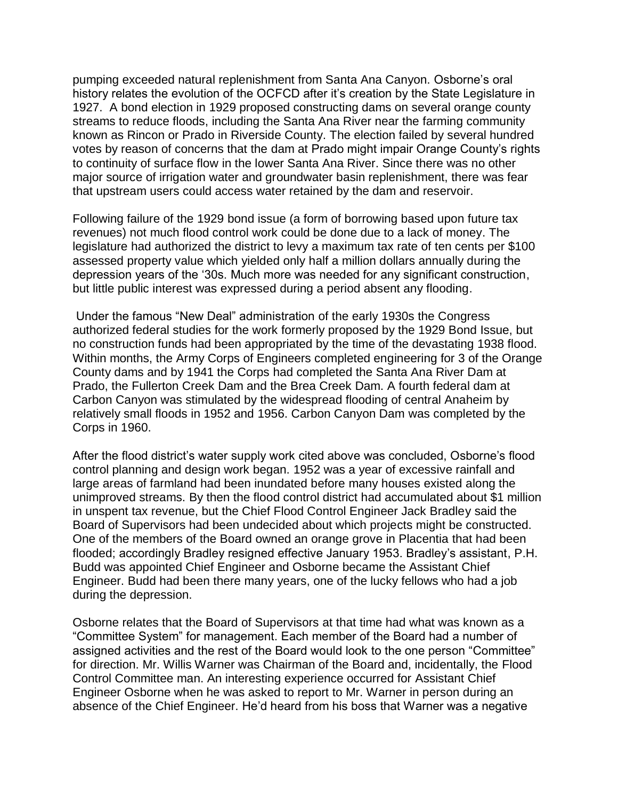pumping exceeded natural replenishment from Santa Ana Canyon. Osborne's oral history relates the evolution of the OCFCD after it's creation by the State Legislature in 1927. A bond election in 1929 proposed constructing dams on several orange county streams to reduce floods, including the Santa Ana River near the farming community known as Rincon or Prado in Riverside County. The election failed by several hundred votes by reason of concerns that the dam at Prado might impair Orange County's rights to continuity of surface flow in the lower Santa Ana River. Since there was no other major source of irrigation water and groundwater basin replenishment, there was fear that upstream users could access water retained by the dam and reservoir.

Following failure of the 1929 bond issue (a form of borrowing based upon future tax revenues) not much flood control work could be done due to a lack of money. The legislature had authorized the district to levy a maximum tax rate of ten cents per \$100 assessed property value which yielded only half a million dollars annually during the depression years of the '30s. Much more was needed for any significant construction, but little public interest was expressed during a period absent any flooding.

Under the famous "New Deal" administration of the early 1930s the Congress authorized federal studies for the work formerly proposed by the 1929 Bond Issue, but no construction funds had been appropriated by the time of the devastating 1938 flood. Within months, the Army Corps of Engineers completed engineering for 3 of the Orange County dams and by 1941 the Corps had completed the Santa Ana River Dam at Prado, the Fullerton Creek Dam and the Brea Creek Dam. A fourth federal dam at Carbon Canyon was stimulated by the widespread flooding of central Anaheim by relatively small floods in 1952 and 1956. Carbon Canyon Dam was completed by the Corps in 1960.

After the flood district's water supply work cited above was concluded, Osborne's flood control planning and design work began. 1952 was a year of excessive rainfall and large areas of farmland had been inundated before many houses existed along the unimproved streams. By then the flood control district had accumulated about \$1 million in unspent tax revenue, but the Chief Flood Control Engineer Jack Bradley said the Board of Supervisors had been undecided about which projects might be constructed. One of the members of the Board owned an orange grove in Placentia that had been flooded; accordingly Bradley resigned effective January 1953. Bradley's assistant, P.H. Budd was appointed Chief Engineer and Osborne became the Assistant Chief Engineer. Budd had been there many years, one of the lucky fellows who had a job during the depression.

Osborne relates that the Board of Supervisors at that time had what was known as a "Committee System" for management. Each member of the Board had a number of assigned activities and the rest of the Board would look to the one person "Committee" for direction. Mr. Willis Warner was Chairman of the Board and, incidentally, the Flood Control Committee man. An interesting experience occurred for Assistant Chief Engineer Osborne when he was asked to report to Mr. Warner in person during an absence of the Chief Engineer. He'd heard from his boss that Warner was a negative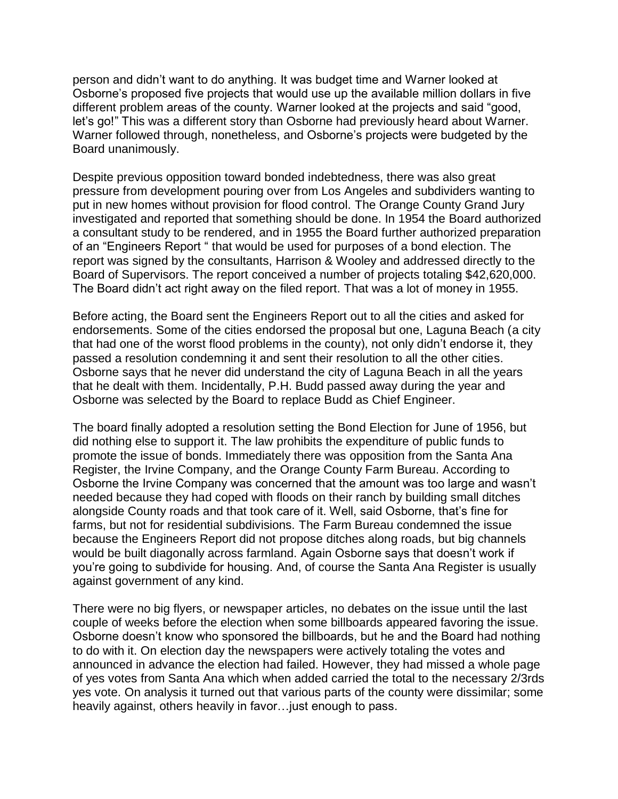person and didn't want to do anything. It was budget time and Warner looked at Osborne's proposed five projects that would use up the available million dollars in five different problem areas of the county. Warner looked at the projects and said "good, let's go!" This was a different story than Osborne had previously heard about Warner. Warner followed through, nonetheless, and Osborne's projects were budgeted by the Board unanimously.

Despite previous opposition toward bonded indebtedness, there was also great pressure from development pouring over from Los Angeles and subdividers wanting to put in new homes without provision for flood control. The Orange County Grand Jury investigated and reported that something should be done. In 1954 the Board authorized a consultant study to be rendered, and in 1955 the Board further authorized preparation of an "Engineers Report " that would be used for purposes of a bond election. The report was signed by the consultants, Harrison & Wooley and addressed directly to the Board of Supervisors. The report conceived a number of projects totaling \$42,620,000. The Board didn't act right away on the filed report. That was a lot of money in 1955.

Before acting, the Board sent the Engineers Report out to all the cities and asked for endorsements. Some of the cities endorsed the proposal but one, Laguna Beach (a city that had one of the worst flood problems in the county), not only didn't endorse it, they passed a resolution condemning it and sent their resolution to all the other cities. Osborne says that he never did understand the city of Laguna Beach in all the years that he dealt with them. Incidentally, P.H. Budd passed away during the year and Osborne was selected by the Board to replace Budd as Chief Engineer.

The board finally adopted a resolution setting the Bond Election for June of 1956, but did nothing else to support it. The law prohibits the expenditure of public funds to promote the issue of bonds. Immediately there was opposition from the Santa Ana Register, the Irvine Company, and the Orange County Farm Bureau. According to Osborne the Irvine Company was concerned that the amount was too large and wasn't needed because they had coped with floods on their ranch by building small ditches alongside County roads and that took care of it. Well, said Osborne, that's fine for farms, but not for residential subdivisions. The Farm Bureau condemned the issue because the Engineers Report did not propose ditches along roads, but big channels would be built diagonally across farmland. Again Osborne says that doesn't work if you're going to subdivide for housing. And, of course the Santa Ana Register is usually against government of any kind.

There were no big flyers, or newspaper articles, no debates on the issue until the last couple of weeks before the election when some billboards appeared favoring the issue. Osborne doesn't know who sponsored the billboards, but he and the Board had nothing to do with it. On election day the newspapers were actively totaling the votes and announced in advance the election had failed. However, they had missed a whole page of yes votes from Santa Ana which when added carried the total to the necessary 2/3rds yes vote. On analysis it turned out that various parts of the county were dissimilar; some heavily against, others heavily in favor…just enough to pass.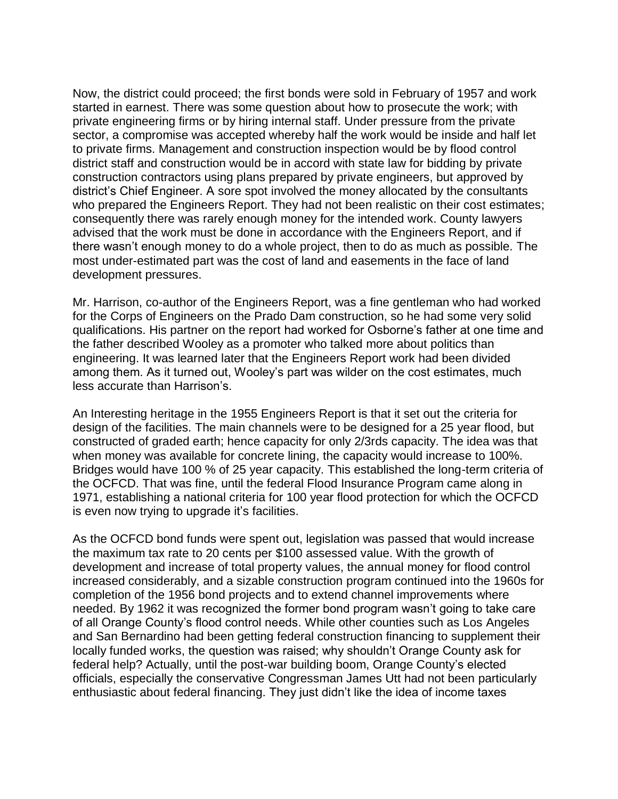Now, the district could proceed; the first bonds were sold in February of 1957 and work started in earnest. There was some question about how to prosecute the work; with private engineering firms or by hiring internal staff. Under pressure from the private sector, a compromise was accepted whereby half the work would be inside and half let to private firms. Management and construction inspection would be by flood control district staff and construction would be in accord with state law for bidding by private construction contractors using plans prepared by private engineers, but approved by district's Chief Engineer. A sore spot involved the money allocated by the consultants who prepared the Engineers Report. They had not been realistic on their cost estimates; consequently there was rarely enough money for the intended work. County lawyers advised that the work must be done in accordance with the Engineers Report, and if there wasn't enough money to do a whole project, then to do as much as possible. The most under-estimated part was the cost of land and easements in the face of land development pressures.

Mr. Harrison, co-author of the Engineers Report, was a fine gentleman who had worked for the Corps of Engineers on the Prado Dam construction, so he had some very solid qualifications. His partner on the report had worked for Osborne's father at one time and the father described Wooley as a promoter who talked more about politics than engineering. It was learned later that the Engineers Report work had been divided among them. As it turned out, Wooley's part was wilder on the cost estimates, much less accurate than Harrison's.

An Interesting heritage in the 1955 Engineers Report is that it set out the criteria for design of the facilities. The main channels were to be designed for a 25 year flood, but constructed of graded earth; hence capacity for only 2/3rds capacity. The idea was that when money was available for concrete lining, the capacity would increase to 100%. Bridges would have 100 % of 25 year capacity. This established the long-term criteria of the OCFCD. That was fine, until the federal Flood Insurance Program came along in 1971, establishing a national criteria for 100 year flood protection for which the OCFCD is even now trying to upgrade it's facilities.

As the OCFCD bond funds were spent out, legislation was passed that would increase the maximum tax rate to 20 cents per \$100 assessed value. With the growth of development and increase of total property values, the annual money for flood control increased considerably, and a sizable construction program continued into the 1960s for completion of the 1956 bond projects and to extend channel improvements where needed. By 1962 it was recognized the former bond program wasn't going to take care of all Orange County's flood control needs. While other counties such as Los Angeles and San Bernardino had been getting federal construction financing to supplement their locally funded works, the question was raised; why shouldn't Orange County ask for federal help? Actually, until the post-war building boom, Orange County's elected officials, especially the conservative Congressman James Utt had not been particularly enthusiastic about federal financing. They just didn't like the idea of income taxes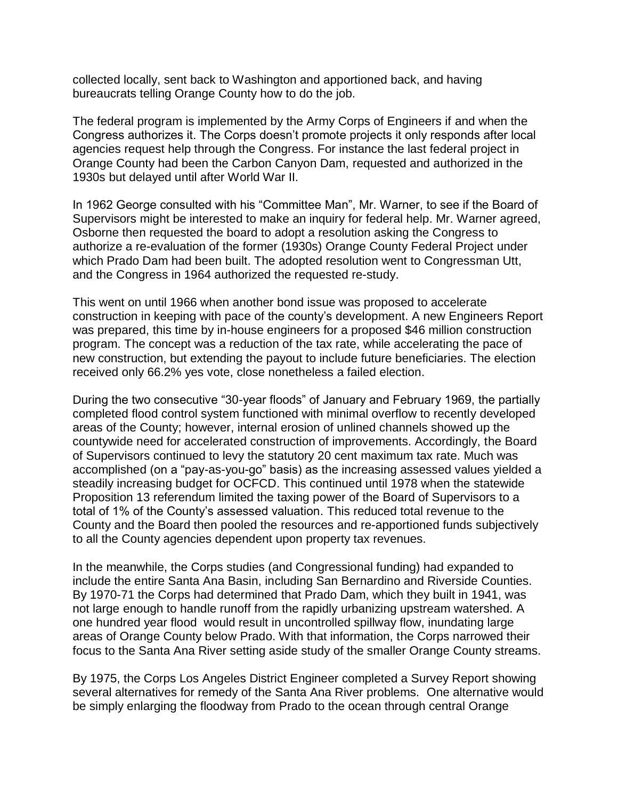collected locally, sent back to Washington and apportioned back, and having bureaucrats telling Orange County how to do the job.

The federal program is implemented by the Army Corps of Engineers if and when the Congress authorizes it. The Corps doesn't promote projects it only responds after local agencies request help through the Congress. For instance the last federal project in Orange County had been the Carbon Canyon Dam, requested and authorized in the 1930s but delayed until after World War II.

In 1962 George consulted with his "Committee Man", Mr. Warner, to see if the Board of Supervisors might be interested to make an inquiry for federal help. Mr. Warner agreed, Osborne then requested the board to adopt a resolution asking the Congress to authorize a re-evaluation of the former (1930s) Orange County Federal Project under which Prado Dam had been built. The adopted resolution went to Congressman Utt, and the Congress in 1964 authorized the requested re-study.

This went on until 1966 when another bond issue was proposed to accelerate construction in keeping with pace of the county's development. A new Engineers Report was prepared, this time by in-house engineers for a proposed \$46 million construction program. The concept was a reduction of the tax rate, while accelerating the pace of new construction, but extending the payout to include future beneficiaries. The election received only 66.2% yes vote, close nonetheless a failed election.

During the two consecutive "30-year floods" of January and February 1969, the partially completed flood control system functioned with minimal overflow to recently developed areas of the County; however, internal erosion of unlined channels showed up the countywide need for accelerated construction of improvements. Accordingly, the Board of Supervisors continued to levy the statutory 20 cent maximum tax rate. Much was accomplished (on a "pay-as-you-go" basis) as the increasing assessed values yielded a steadily increasing budget for OCFCD. This continued until 1978 when the statewide Proposition 13 referendum limited the taxing power of the Board of Supervisors to a total of 1% of the County's assessed valuation. This reduced total revenue to the County and the Board then pooled the resources and re-apportioned funds subjectively to all the County agencies dependent upon property tax revenues.

In the meanwhile, the Corps studies (and Congressional funding) had expanded to include the entire Santa Ana Basin, including San Bernardino and Riverside Counties. By 1970-71 the Corps had determined that Prado Dam, which they built in 1941, was not large enough to handle runoff from the rapidly urbanizing upstream watershed. A one hundred year flood would result in uncontrolled spillway flow, inundating large areas of Orange County below Prado. With that information, the Corps narrowed their focus to the Santa Ana River setting aside study of the smaller Orange County streams.

By 1975, the Corps Los Angeles District Engineer completed a Survey Report showing several alternatives for remedy of the Santa Ana River problems. One alternative would be simply enlarging the floodway from Prado to the ocean through central Orange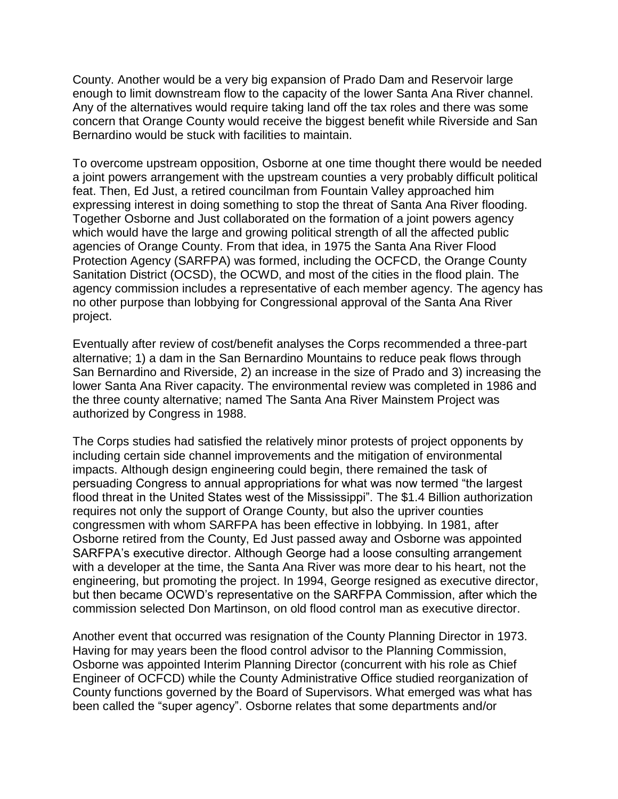County. Another would be a very big expansion of Prado Dam and Reservoir large enough to limit downstream flow to the capacity of the lower Santa Ana River channel. Any of the alternatives would require taking land off the tax roles and there was some concern that Orange County would receive the biggest benefit while Riverside and San Bernardino would be stuck with facilities to maintain.

To overcome upstream opposition, Osborne at one time thought there would be needed a joint powers arrangement with the upstream counties a very probably difficult political feat. Then, Ed Just, a retired councilman from Fountain Valley approached him expressing interest in doing something to stop the threat of Santa Ana River flooding. Together Osborne and Just collaborated on the formation of a joint powers agency which would have the large and growing political strength of all the affected public agencies of Orange County. From that idea, in 1975 the Santa Ana River Flood Protection Agency (SARFPA) was formed, including the OCFCD, the Orange County Sanitation District (OCSD), the OCWD, and most of the cities in the flood plain. The agency commission includes a representative of each member agency. The agency has no other purpose than lobbying for Congressional approval of the Santa Ana River project.

Eventually after review of cost/benefit analyses the Corps recommended a three-part alternative; 1) a dam in the San Bernardino Mountains to reduce peak flows through San Bernardino and Riverside, 2) an increase in the size of Prado and 3) increasing the lower Santa Ana River capacity. The environmental review was completed in 1986 and the three county alternative; named The Santa Ana River Mainstem Project was authorized by Congress in 1988.

The Corps studies had satisfied the relatively minor protests of project opponents by including certain side channel improvements and the mitigation of environmental impacts. Although design engineering could begin, there remained the task of persuading Congress to annual appropriations for what was now termed "the largest flood threat in the United States west of the Mississippi". The \$1.4 Billion authorization requires not only the support of Orange County, but also the upriver counties congressmen with whom SARFPA has been effective in lobbying. In 1981, after Osborne retired from the County, Ed Just passed away and Osborne was appointed SARFPA's executive director. Although George had a loose consulting arrangement with a developer at the time, the Santa Ana River was more dear to his heart, not the engineering, but promoting the project. In 1994, George resigned as executive director, but then became OCWD's representative on the SARFPA Commission, after which the commission selected Don Martinson, on old flood control man as executive director.

Another event that occurred was resignation of the County Planning Director in 1973. Having for may years been the flood control advisor to the Planning Commission, Osborne was appointed Interim Planning Director (concurrent with his role as Chief Engineer of OCFCD) while the County Administrative Office studied reorganization of County functions governed by the Board of Supervisors. What emerged was what has been called the "super agency". Osborne relates that some departments and/or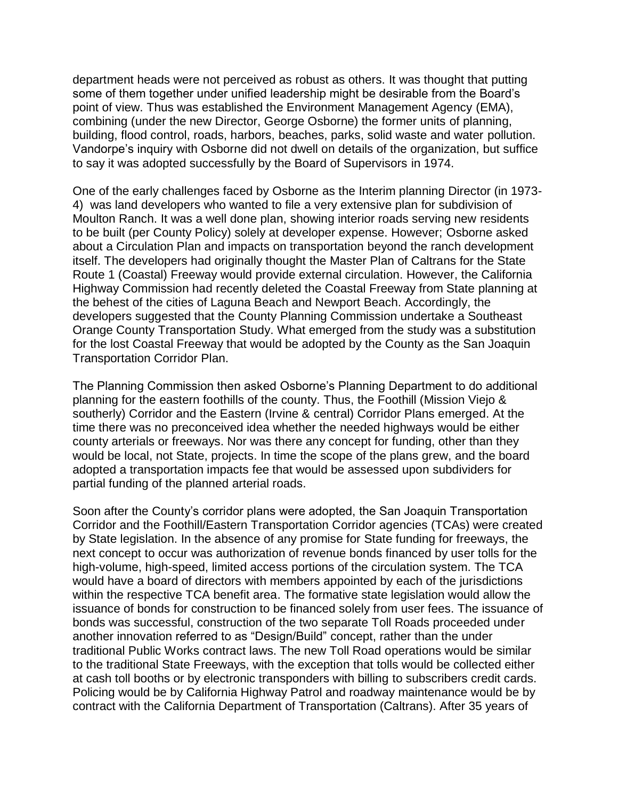department heads were not perceived as robust as others. It was thought that putting some of them together under unified leadership might be desirable from the Board's point of view. Thus was established the Environment Management Agency (EMA), combining (under the new Director, George Osborne) the former units of planning, building, flood control, roads, harbors, beaches, parks, solid waste and water pollution. Vandorpe's inquiry with Osborne did not dwell on details of the organization, but suffice to say it was adopted successfully by the Board of Supervisors in 1974.

One of the early challenges faced by Osborne as the Interim planning Director (in 1973- 4) was land developers who wanted to file a very extensive plan for subdivision of Moulton Ranch. It was a well done plan, showing interior roads serving new residents to be built (per County Policy) solely at developer expense. However; Osborne asked about a Circulation Plan and impacts on transportation beyond the ranch development itself. The developers had originally thought the Master Plan of Caltrans for the State Route 1 (Coastal) Freeway would provide external circulation. However, the California Highway Commission had recently deleted the Coastal Freeway from State planning at the behest of the cities of Laguna Beach and Newport Beach. Accordingly, the developers suggested that the County Planning Commission undertake a Southeast Orange County Transportation Study. What emerged from the study was a substitution for the lost Coastal Freeway that would be adopted by the County as the San Joaquin Transportation Corridor Plan.

The Planning Commission then asked Osborne's Planning Department to do additional planning for the eastern foothills of the county. Thus, the Foothill (Mission Viejo & southerly) Corridor and the Eastern (Irvine & central) Corridor Plans emerged. At the time there was no preconceived idea whether the needed highways would be either county arterials or freeways. Nor was there any concept for funding, other than they would be local, not State, projects. In time the scope of the plans grew, and the board adopted a transportation impacts fee that would be assessed upon subdividers for partial funding of the planned arterial roads.

Soon after the County's corridor plans were adopted, the San Joaquin Transportation Corridor and the Foothill/Eastern Transportation Corridor agencies (TCAs) were created by State legislation. In the absence of any promise for State funding for freeways, the next concept to occur was authorization of revenue bonds financed by user tolls for the high-volume, high-speed, limited access portions of the circulation system. The TCA would have a board of directors with members appointed by each of the jurisdictions within the respective TCA benefit area. The formative state legislation would allow the issuance of bonds for construction to be financed solely from user fees. The issuance of bonds was successful, construction of the two separate Toll Roads proceeded under another innovation referred to as "Design/Build" concept, rather than the under traditional Public Works contract laws. The new Toll Road operations would be similar to the traditional State Freeways, with the exception that tolls would be collected either at cash toll booths or by electronic transponders with billing to subscribers credit cards. Policing would be by California Highway Patrol and roadway maintenance would be by contract with the California Department of Transportation (Caltrans). After 35 years of